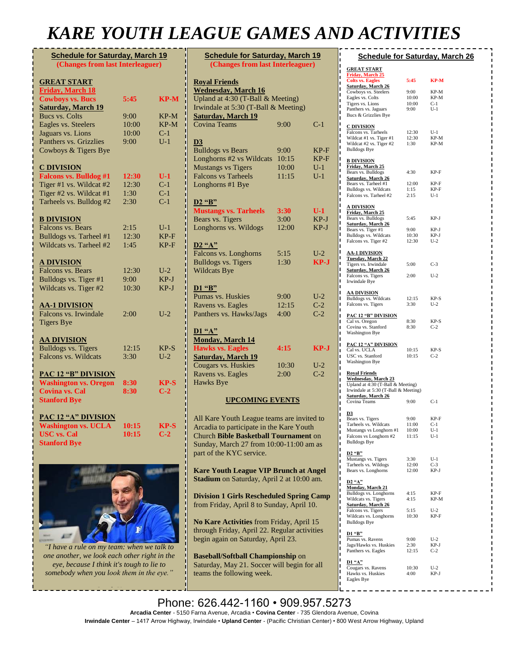## *KARE YOUTH LEAGUE GAMES AND ACTIVITIES*

| <b>Schedule for Saturday, March 19</b><br>(Changes from last Interleaguer) |       |                  |  |
|----------------------------------------------------------------------------|-------|------------------|--|
| <b>GREAT START</b>                                                         |       |                  |  |
| <b>Friday, March 18</b>                                                    |       |                  |  |
| <b>Cowboys vs. Bucs</b>                                                    | 5:45  | <b>KP-M</b>      |  |
| <b>Saturday, March 19</b>                                                  |       |                  |  |
| <b>Bucs vs. Colts</b>                                                      | 9:00  | KP-M             |  |
| Eagles vs. Steelers                                                        | 10:00 | KP-M             |  |
| Jaguars vs. Lions                                                          | 10:00 | $C-1$            |  |
| Panthers vs. Grizzlies                                                     | 9:00  | $U-1$            |  |
| Cowboys & Tigers Bye                                                       |       |                  |  |
| <b>C DIVISION</b>                                                          |       |                  |  |
| <b>Falcons vs. Bulldog #1</b>                                              | 12:30 | U-1              |  |
| Tiger #1 vs. Wildcat #2                                                    | 12:30 | $C-1$            |  |
| Tiger #2 vs. Wildcat #1                                                    | 1:30  | $C-1$            |  |
| Tarheels vs. Bulldog #2                                                    | 2:30  | $\overline{C-1}$ |  |
| <b>B DIVISION</b>                                                          |       |                  |  |
| Falcons vs. Bears                                                          | 2:15  | $U-1$            |  |
| Bulldogs vs. Tarheel #1                                                    | 12:30 | KP-F             |  |
| Wildcats vs. Tarheel #2                                                    | 1:45  | $KP-F$           |  |
| <b>A DIVISION</b>                                                          |       |                  |  |
| Falcons vs. Bears                                                          | 12:30 | $U-2$            |  |
| Bulldogs vs. Tiger #1                                                      | 9:00  | KP-J             |  |
| Wildcats vs. Tiger #2                                                      | 10:30 | KP-J             |  |
| <b>AA-1 DIVISION</b>                                                       |       |                  |  |
| Falcons vs. Irwindale                                                      | 2:00  | $U-2$            |  |
| <b>Tigers Bye</b>                                                          |       |                  |  |
| <b>AA DIVISION</b>                                                         |       |                  |  |
| <b>Bulldogs vs. Tigers</b>                                                 | 12:15 | $KP-S$           |  |
| Falcons vs. Wildcats                                                       | 3:30  | $U-2$            |  |
| <b>PAC 12 "B" DIVISION</b>                                                 |       |                  |  |
| <b>Washington vs. Oregon</b>                                               | 8:30  | <b>KP-S</b>      |  |
| <b>Covina vs. Cal</b>                                                      | 8:30  | $C-2$            |  |
| <b>Stanford Bye</b>                                                        |       |                  |  |
| <b>PAC 12 "A" DIVISION</b>                                                 |       |                  |  |
| <b>Washington vs. UCLA</b>                                                 | 10:15 | KP-S             |  |
| <b>USC</b> vs. Cal                                                         | 10:15 | $C-2$            |  |
| <b>Stanford Bye</b>                                                        |       |                  |  |
|                                                                            |       |                  |  |



*"I have a rule on my team: when we talk to one another, we look each other right in the eye, because I think it's tough to lie to somebody when you look them in the eye."*

Coach K

| <b>Schedule for Saturday, March 19</b> |                                   |        |  |  |  |
|----------------------------------------|-----------------------------------|--------|--|--|--|
| (Changes from last Interleaguer)       |                                   |        |  |  |  |
| <b>Royal Friends</b>                   |                                   |        |  |  |  |
| <b>Wednesday</b> , March 16            |                                   |        |  |  |  |
|                                        | Upland at 4:30 (T-Ball & Meeting) |        |  |  |  |
| Irwindale at 5:30 (T-Ball & Meeting)   |                                   |        |  |  |  |
| <b>Saturday, March 19</b>              |                                   |        |  |  |  |
| <b>Covina Teams</b>                    | 9:00                              | $C-1$  |  |  |  |
|                                        |                                   |        |  |  |  |
| D <sub>3</sub>                         |                                   |        |  |  |  |
| <b>Bulldogs vs Bears</b>               | 9:00                              | $KP-F$ |  |  |  |
| Longhorns #2 vs Wildcats               | 10:15                             | $KP-F$ |  |  |  |
| <b>Mustangs vs Tigers</b>              | 10:00                             | $U-1$  |  |  |  |
| <b>Falcons vs Tarheels</b>             | 11:15                             | $U-1$  |  |  |  |
| Longhorns #1 Bye                       |                                   |        |  |  |  |
|                                        |                                   |        |  |  |  |
| <b>D2</b> "B"                          |                                   |        |  |  |  |
| <b>Mustangs vs. Tarheels</b>           | 3:30                              | $U-1$  |  |  |  |
| Bears vs. Tigers                       | 3:00                              | KP-J   |  |  |  |
| Longhorns vs. Wildogs                  | 12:00                             | $KP-J$ |  |  |  |
|                                        |                                   |        |  |  |  |
| $D2$ "A"<br>Falcons vs. Longhorns      | 5:15                              | $U-2$  |  |  |  |
| <b>Bulldogs vs. Tigers</b>             | 1:30                              | $KP-J$ |  |  |  |
| <b>Wildcats Bye</b>                    |                                   |        |  |  |  |
|                                        |                                   |        |  |  |  |
| D1 "B"                                 |                                   |        |  |  |  |
| Pumas vs. Huskies                      | 9:00                              | $U-2$  |  |  |  |
| Ravens vs. Eagles                      | 12:15                             | $C-2$  |  |  |  |
| Panthers vs. Hawks/Jags                | 4:00                              | $C-2$  |  |  |  |
|                                        |                                   |        |  |  |  |
| D1 "A"                                 |                                   |        |  |  |  |
| <b>Monday, March 14</b>                |                                   |        |  |  |  |
| <b>Hawks vs. Eagles</b>                | 4:15                              | KP-J   |  |  |  |
| <b>Saturday, March 19</b>              |                                   |        |  |  |  |
| Cougars vs. Huskies                    | 10:30                             | $U-2$  |  |  |  |
| Ravens vs. Eagles                      | 2:00                              | $C-2$  |  |  |  |
| Hawks Bye                              |                                   |        |  |  |  |
|                                        |                                   |        |  |  |  |
| <b>UPCOMING EVENTS</b>                 |                                   |        |  |  |  |
|                                        |                                   |        |  |  |  |

All Kare Youth League teams are invited to Arcadia to participate in the Kare Youth Church **Bible Basketball Tournament** on Sunday, March 27 from 10:00-11:00 am as part of the KYC service.

**Kare Youth League VIP Brunch at Angel Stadium** on Saturday, April 2 at 10:00 am.

**Division 1 Girls Rescheduled Spring Camp**  from Friday, April 8 to Sunday, April 10.

**No Kare Activities** from Friday, April 15 through Friday, April 22. Regular activities begin again on Saturday, April 23.

**Baseball/Softball Championship** on Saturday, May 21. Soccer will begin for all teams the following week.

|                                                                 |                | <b>Schedule for Saturday, March 26</b> |
|-----------------------------------------------------------------|----------------|----------------------------------------|
|                                                                 |                |                                        |
| <b>GREAT START</b><br><b>Friday, March 25</b>                   |                |                                        |
| <b>Colts vs. Eagles</b>                                         | 5:45           | KP-M                                   |
| Saturday, March 26                                              |                |                                        |
| Cowboys vs. Steelers<br>Eagles vs. Colts                        | 9:00<br>10:00  | KP-M<br>KP-M                           |
| Tigers vs. Lions                                                | 10:00          | $C-1$                                  |
| Panthers vs. Jaguars                                            | 9:00           | $U-1$                                  |
| Bucs & Grizzlies Bye                                            |                |                                        |
| <b>C DIVISION</b>                                               |                |                                        |
| Falcons vs. Tarheels<br>Wildcat #1 vs. Tiger #1                 | 12:30          | $U-1$                                  |
| Wildcat #2 vs. Tiger #2                                         | 12:30<br>1:30  | KP-M<br>KP-M                           |
| <b>Bulldogs Bye</b>                                             |                |                                        |
| <b>B DIVISION</b>                                               |                |                                        |
| <b>Friday, March 25</b>                                         |                |                                        |
| Bears vs. Bulldogs<br><b>Saturday, March 26</b>                 | 4:30           | KP-F                                   |
| Bears vs. Tarheel #1                                            | 12:00          | KP-F                                   |
| Bulldogs vs. Wildcats                                           | 1:15           | KP-F                                   |
| Falcons vs. Tarheel #2                                          | 2:15           | $U-1$                                  |
| <u>A DIVISION</u>                                               |                |                                        |
| <u>Friday, March 25</u>                                         | 5:45           | KP-J                                   |
| Bears vs. Bulldogs<br><b>Saturday, March 26</b>                 |                |                                        |
| Bears vs. Tiger #1                                              | 9:00           | KP-J                                   |
| Bulldogs vs. Wildcats<br>Falcons vs. Tiger #2                   | 10:30<br>12:30 | KP-J<br>$U-2$                          |
|                                                                 |                |                                        |
| <u>AA-1 DIVISION</u>                                            |                |                                        |
| Tuesday, March 22<br>Tigers vs. Irwindale                       | 5:00           | $C-3$                                  |
| <u>Saturday, March 26</u>                                       |                |                                        |
| Falcons vs. Tigers<br>Irwindale Bye                             | 2:00           | $U-2$                                  |
|                                                                 |                |                                        |
| <u>AA DIVISION</u>                                              |                |                                        |
| Bulldogs vs. Wildcats<br>Falcons vs. Tigers                     | 12:15<br>3:30  | KP-S<br>$U-2$                          |
|                                                                 |                |                                        |
| <b>PAC 12 "B" DIVISION</b>                                      | 8:30           | KP-S                                   |
| Cal vs. Oregon<br>Covina vs. Stanford                           | 8:30           | $C-2$                                  |
| <b>Washington Bye</b>                                           |                |                                        |
| <b>PAC 12 "A" DIVISION</b>                                      |                |                                        |
| Cal vs. UCLA                                                    | 10:15          | KP-S                                   |
| USC vs. Stanford                                                | 10:15          | $C-2$                                  |
| <b>Washington Bye</b>                                           |                |                                        |
| <b>Royal Friends</b>                                            |                |                                        |
| <b>Wednesday, March 23</b><br>Upland at 4:30 (T-Ball & Meeting) |                |                                        |
| Irwindale at 5:30 (T-Ball & Meeting)                            |                |                                        |
| <b>Saturday, March 26</b><br>Covina Teams                       | 9:00           | $C-1$                                  |
|                                                                 |                |                                        |
| D3                                                              |                |                                        |
| Bears vs. Tigers<br>Tarheels vs. Wildcats                       | 9:00<br>11:00  | KP-F<br>$C-1$                          |
| Mustangs vs Longhorn #1                                         | 10:00          | $U-1$                                  |
| Falcons vs Longhorn #2<br><b>Bulldogs Bye</b>                   | 11:15          | $U-1$                                  |
|                                                                 |                |                                        |
| D2 "B"                                                          |                |                                        |
| Mustangs vs. Tigers<br>Tarheels vs. Wildogs                     | 3:30<br>12:00  | $U-1$<br>$C-3$                         |
| Bears vs. Longhorns                                             | 12:00          | KP-J                                   |
| D2''A''                                                         |                |                                        |
| <b>Monday, March 21</b>                                         |                |                                        |
| Bulldogs vs. Longhorns                                          | 4:15           | KP-F                                   |
| Wildcats vs. Tigers<br><b>Saturday, March 26</b>                | 4:15           | KP-M                                   |
| Falcons vs. Tigers                                              | 5:15           | U-2                                    |
| Wildcats vs. Longhorns<br><b>Bulldogs Bye</b>                   | 10:30          | KP-F                                   |
|                                                                 |                |                                        |
| <u>D1 "B"</u>                                                   |                |                                        |
| Pumas vs. Ravens<br>Jags/Hawks vs. Huskies                      | 9:00<br>2:30   | $U-2$<br>KP-J                          |
| Panthers vs. Eagles                                             | 12:15          | $C-2$                                  |
| D1 "A"                                                          |                |                                        |
| Cougars vs. Ravens                                              | 10:30          | U-2                                    |
| Hawks vs. Huskies<br>Eagles Bye                                 | 4:00           | KP-J                                   |
|                                                                 |                |                                        |

**No Kare Activities** from Friday, May 27